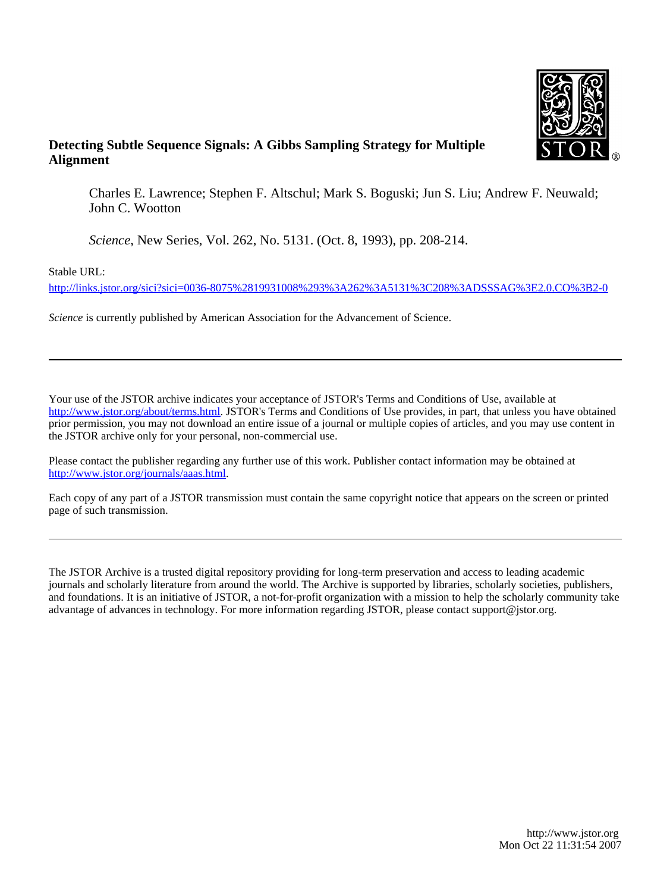

## **Detecting Subtle Sequence Signals: A Gibbs Sampling Strategy for Multiple Alignment**

Charles E. Lawrence; Stephen F. Altschul; Mark S. Boguski; Jun S. Liu; Andrew F. Neuwald; John C. Wootton

*Science*, New Series, Vol. 262, No. 5131. (Oct. 8, 1993), pp. 208-214.

Stable URL:

<http://links.jstor.org/sici?sici=0036-8075%2819931008%293%3A262%3A5131%3C208%3ADSSSAG%3E2.0.CO%3B2-0>

*Science* is currently published by American Association for the Advancement of Science.

Your use of the JSTOR archive indicates your acceptance of JSTOR's Terms and Conditions of Use, available at [http://www.jstor.org/about/terms.html.](http://www.jstor.org/about/terms.html) JSTOR's Terms and Conditions of Use provides, in part, that unless you have obtained prior permission, you may not download an entire issue of a journal or multiple copies of articles, and you may use content in the JSTOR archive only for your personal, non-commercial use.

Please contact the publisher regarding any further use of this work. Publisher contact information may be obtained at [http://www.jstor.org/journals/aaas.html.](http://www.jstor.org/journals/aaas.html)

Each copy of any part of a JSTOR transmission must contain the same copyright notice that appears on the screen or printed page of such transmission.

The JSTOR Archive is a trusted digital repository providing for long-term preservation and access to leading academic journals and scholarly literature from around the world. The Archive is supported by libraries, scholarly societies, publishers, and foundations. It is an initiative of JSTOR, a not-for-profit organization with a mission to help the scholarly community take advantage of advances in technology. For more information regarding JSTOR, please contact support@jstor.org.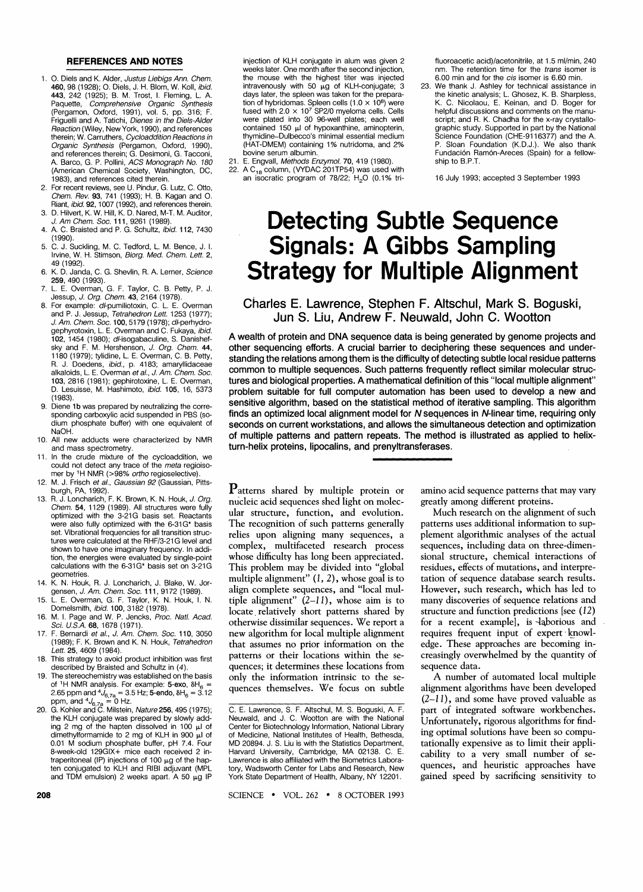#### **REFERENCES AND NOTES**

- 1. O. Diels and K. Alder, Justus Liebigs Ann. Chem. 460, 98 (1928); 0.Diels, J. H. Blom, W. Koll, ibid. 443, 242 (1925); B. M. Trost, I. Fleming, L. A. Paquette, Comprehensive Organic Synthesis (Pergamon, Oxford, 1991), vol. 5, pp. 316; F. Friguelli and A. Tatichi, Dienes in the Diels-Alder Reaction (Wiley, NewYork, 1990), and references therein; W. Carruthers, Cycloaddition Reactions in Organic Synthesis (Pergamon, Oxford, 1990), and references therein; G. Desimoni, G. Tacconi, A. Barco, G. P. Pollini, ACS Monograph No. 180 (American Chemical Society, Washington, DC, 1983), and references cited therein.
- 2. For recent reviews, see U. Pindur, G. Lutz, C. Otto, Chem. Rev. 93, 741 (1993); H. B. Kagan and 0. Riant, ibid. 92, 1007 (1992), and references therein.
- 3. D. Hilvert, K.W. Hill, K. D. Nared, M-T. M. Auditor, J. Am Chem. Soc. 111, 9261 (1989).
- 4. A. C. Braisted and P. G. Schultz, ibid. 112, 7430 (1990).
- 5. C. J. Suckling, M. C. Tedford, L. M. Bence, J. I.<br>Irvine, W. H. Stimson, *Biorg. Med. Chem. Lett.* 2, 49 (1992)
- 6. K. D. Janda, C. G. Shevlin, R. A. Lerner, Science 259, 490 (1993).
- 7. L. E. Overman, G. F. Taylor, C. B. Petty, P. J. Jessup, J. Org. Chem. 43, 2164 (1978).
- 8. For example: dl-pumiliotoxin, C. L. E. Overman and P. J. Jessup, Tetrahedron Lett. 1253 (1977); J.Am. Chem. Soc. 100,5179 (1978); dl-perhydro-gephyrotoxin, L. E. Overman and C. Fukaya, ibid. 102, 1454 (1980); dl-isogabaculine, S. Danishefsky and F. M. Hershenson, J. Org. Chem. 44, 1180 (1979); tylidine, L. E. Overman, C. B. Petty, R. J. Doedens, *ibid.*, p. 4183; amaryllidaceae<br>alkaloids, L. E. Overman *et al., J. Am. Chem. Soc.* 1**03**, 2816 (1981); gephirotoxine, L. E. Overman,<br>D. Lesuisse, M. Hashimoto, *ibid.* 1**05**, 16, 5373 (1983).
- 9. Diene Ib was prepared by neutralizing the corresponding carboxylic acid suspended in PBS (sodium phosphate buffer) with one equivalent of NaOH.
- 10. All new adducts were characterized by NMR and mass spectrometry.
- 11. In the crude mixture of the cycloaddition, we could not detect any trace of the meta regioisomer by <sup>1</sup>H NMR (>98% *ortho* regioselective).
- 12. M. J. Frisch et al., Gaussian 92 (Gaussian, Pittsburgh, PA, 1992).
- 13. R. J. Loncharich, F. K. Brown, K. N. Houk, J. Org. Chem. 54, 1129 (1989). All structures were fully optimized with the 3-21G basis set. Reactants were also fully optimized with the 6-31G\* basis set. Vibrational frequencies for all transition structures were calculated at the RHF/3-21G level and shown to have one imaginary frequency. In addition, the energies were evaluated by single-point calculations with the 6-31G\* basis set on 3-21G geometries.
- 14. K. N. Houk, R. J. Loncharich, J. Blake, W. Jorgensen, J.Am. Chem. Soc. 111, 9172 (1989).
- 15. L. E. Overman, G. F. Taylor, K. N. Houk, I. N.
- Domelsmith, *ibid.* 100, 3182 (1978).<br>16. M. I. Page and W. P. Jencks, *Proc. Natl. Acad.*<br>*Sci. U.S.A.* 68, 1678 (1971).
- F. Bernardi et al., J. Am. Chem. Soc. 110, 3050 (1989); F. K. Brown and K. N. Houk, Tetrahedron Lett. 25, 4609 (1984).
- 18. This strategy to avoid product inhibition was first described by Braisted and Schultz in (4).
- 19. The stereochemistrywas established on the basis of <sup>1</sup>H NMR analysis. For example: 5-exo,  $\delta H_6 = 2.65$  ppm and  $\frac{4J_{6,7a}}{8.5a} = 3.5$  Hz; 5-endo,  $\delta H_6 = 3.12$  ppm, and  $\frac{4J_{6,7a}}{8.5a} = 0$  Hz. ppm, and  $\frac{4J_{6.78}}{20.6}$  = 0 Hz.<br>20. G. Kohler and C. Milstein, Nature 256, 495 (1975);
- the KLH conjugate was prepared by slowly adding 2 mg of the hapten dissolved in 100 ul of dimethylformamide to 2 mg of KLH in 900  $\mu$ I of 0.01 M sodium phosphate buffer, pH 7.4. Four 8-week-old 129GIX+ mice each received 2 intraperitoneal (IP) injections of 100  $\mu$ g of the hapten conjugated to KLH and RIB1 adjuvant (MPL and TDM emulsion) 2 weeks apart. A 50 µg IP

injection of KLH conjugate in alum was given 2 weeks later. One month after the second injection, the mouse with the highest titer was injected intravenously with 50  $\mu$ g of KLH-conjugate; 3 days later, the spleen was taken for the preparation of hybridomas. Spleen cells  $(1.0 \times 10^8)$  were<br>fused with 2.0  $\times$  10<sup>7</sup> SP2/0 myeloma cells. Cells were plated into 30 96-well plates; each well contained 150 µl of hypoxanthine, aminopterin, thymidine-Dulbecco's minimal essential medium (HAT-DMEM) containing 1% nutridoma, and 2% bovine serum albumin.

21. E. Engvall, Methods Enzymol. 70, 419 (1980). A C<sub>18</sub> column, (VYDAC 201TP54) was used with an isocratic program of 78/22; H<sub>2</sub>O (0.1% tri-

fluoroacetic acid)/acetonitrile, at 1.5 ml/min, 240 nm. The retention time for the *trans* isomer is 6.00 min and for the *cis* isomer is 6.60 min.

23. We thank J. Ashley for technical assistance in the kinetic analysis; L. Ghosez, K. B. Sharpless, K. C. Nicolaou, E. Keinan, and D. Boger for helpful discussions and comments on the manuscript; and R. K. Chadha for the x-ray crystallographic study. Supported in part by the National Science Foundation (CHE-9116377) and the A. P. Sloan Foundation (K.D.J.). We also thank Fundación Ramón-Areces (Spain) for a fellowship to B.P.T.

16 July 1993; accepted 3 September 1993

# **Detecting Subtle Sequence Signals: A Gibbs Sampling Strategy for Multiple Alignment**

## Charles E. Lawrence, Stephen F. Altschul, Mark S. Boguski, Jun S. Liu, Andrew F. Neuwald, John C. Wootton

A wealth of protein and DNA sequence data is being generated by genome projects and other sequencing efforts. A crucial barrier to deciphering these sequences and understanding the relations among them is the difficulty of detecting subtle local residue patterns common to multiple sequences. Such patterns frequently reflect similar molecular structures and biological properties. A mathematical definition of this "local multiple alignment" problem suitable for full computer automation has been used to develop a new and sensitive algorithm, based on the statistical method of iterative sampling. This algorithm finds an optimized local alignment model for N sequences in N-linear time, requiring only seconds on current workstations, and allows the simultaneous detection and optimization of multiple patterns and pattern repeats. The method is illustrated as applied to helixturn-helix proteins, lipocalins, and prenyltransferases.

Patterns shared by multiple protein or nucleic acid sequences shed light on molecular structure, function, and evolution. The recognition of such patterns generally relies upon aligning many sequences, a complex, multifaceted research process whose difficulty has long been appreciated. This problem may be divided into "global multiple alignment" (1, 2), whose goal is to align complete sequences, and "local multiple alignment" (2-1 l), whose aim is to locate relatively short patterns shared by otherwise dissimilar sequences. We report a new algorithm for local multiple alignment that assumes no prior information on the patterns or their locations within the seauences: it determines.these locations from only the information intrinsic to the sequences themselves. We focus on subtle

C. E. Lawrence, S. F. Altschul, M. S. Boguski, A. F. Neuwald, and J. C. Wootton are with the National Center for Biotechnology Information, National Library of Medicine, National Institutes of Health, Bethesda, MD 20894. J. S. Liu is with the Statistics Department, Harvard University, Cambridge, MA 02138. C. E. Lawrence is also affiliated with the Biometrics Laboratory, Wadsworth Center for Labs and Research, New York State Department of Health, Albany, NY 12201.

SCIENCE • VOL. 262 • 8 OCTOBER 1993

amino acid sequence patterns that may vary greatly among different proteins.

Much research on the alignment of such patterns uses additional information to supplement algorithmic analyses of the actual sequences, including data on three-dimensional structure, chemical interactions of residues, effects of mutations, and interpretation of sequence database search results. However, such research, which has led to many discoveries of sequence relations and structure and function predictions [see (12) for a recent example], is laborious and requires frequent input of expert knowledge. These approaches are becoming increasingly overwhelmed by the quantity of sequence data.

A number of automated local multiple alignment algorithms have been developed  $(2-11)$ , and some have proved valuable as part of integrated software workbenches. Unfortunately, rigorous algorithms for finding optimal solutions have been so computationally expensive as to limit their applicability to a very small number of sequences, and heuristic approaches have gained speed by sacrificing sensitivity to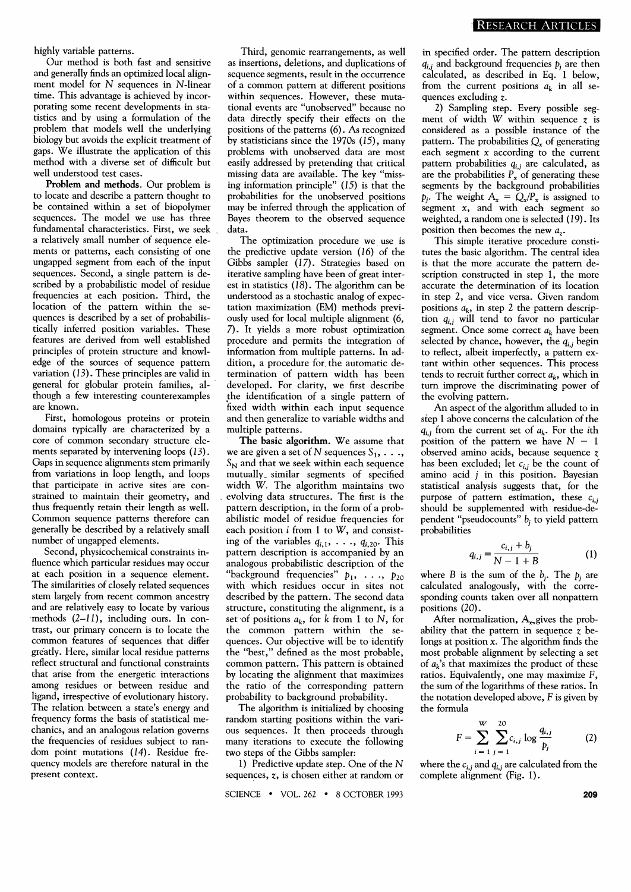highly variable patterns.

Our method is both fast and sensitive and generally finds an optimized local alignment model for N sequences in N-linear time. This advantage is achieved by incorporating some recent developments in statistics and by using a formulation of the problem that models well the underlying biology but avoids the explicit treatment of gaps. We illustrate the application of this method with a diverse set of difficult but well understood test cases.

**Problem and methods.** Our problem is to locate and describe a pattern thought to be contained within a set of biopolymer sequences. The model we use has three fundamental characteristics. First, we seek a relatively small number of sequence elements or patterns, each consisting of one ungapped segment from each of the input sequences. Second, a single pattern is described by a probabilistic model of residue frequencies at each position. Third, the location of the pattern within the sequences is described by a set of probabilistically inferred position variables. These features are derived from well established principles of protein structure and knowledge of the sources of sequence pattern variation (13). These principles are valid in general for globular protein families, although a few interesting counterexamples are known.

First, homologous proteins or protein domains typically are characterized by a core of common secondary structure elements separated by intervening loops (13). Gaps in sequence alignments stem primarily from variations in loop length, and loops that participate in active sites are constrained to maintain their geometry, and thus frequently retain their length as well. Common sequence patterns therefore can generally be described by a relatively small number of ungapped elements.

Second, physicochemical constraints influence which particular residues may occur at each position in a sequence element. The similarities of closely related sequences stem largely from recent common ancestry and are relatively easy to locate by various methods  $(2-11)$ , including ours. In contrast, our primary concern is to locate the common features of sequences that differ greatly. Here, similar local residue patterns reflect structural and functional constraints that arise from the energetic interactions among residues or between residue and ligand, irrespective of evolutionary history. The relation between a state's energy and frequency forms the basis of statistical mechanics, and an analogous relation governs the frequencies of residues subject to random point mutations (14). Residue frequency models are therefore natural in the present context.

Third, genomic rearrangements, as well as insertions, deletions, and duplications of sequence segments, result in the occurrence of a common pattern at different positions within sequences. However, these mutational events are "unobserved" because no data directly specify their effects on the positions of the patterns (6). As recognized by statisticians since the  $1970s$  (15), many problems with unobserved data are most easily addressed by pretending that critical missing data are available. The key "missing information principle" (15) is that the probabilities for the unobserved positions may be inferred through the application of Bayes theorem to the observed sequence data.

The optimization procedure we use is the predictive update version (16) of the Gibbs sampler (17). Strategies based on iterative sampling have been of great interest in statistics  $(18)$ . The algorithm can be understood as a stochastic analog of expectation maximization (EM) methods previously used for local multiple alignment (6, 7). It yields a more robust optimization procedure and permits the integration of information from multiple patterns. In addition, a procedure for. the automatic determination of pattern width has been developed. For clarity, we first describe :he identification of a single pattern of fixed width within each input sequence and then generalize to variable widths and multiple patterns.

**The basic algorithm.** We assume that we are given a set of N sequences  $S_1, \ldots, S_N$  and that we seek within each sequence mutually- similar segments of specified width W. The algorithm maintains two evolving data structures. The first is the pattern description, in the form of a probabilistic model of residue frequencies for each position i from 1 to W, and consisting of the variables  $q_{i,1}$ ,  $\ldots$ ,  $q_{i,20}$ . This pattern description is accompanied by an analogous probabilistic description of the "background frequencies" *p,,* ..., *P20*  with which residues occur in sites not described by the pattern. The second data structure, constituting the alignment, is a set of positions  $a_k$ , for k from 1 to N, for the common pattern within the sequences. Our objective will be to identify the "best," defined as the most probable, common pattern. This pattern is obtained by locating the alignment that maximizes the ratio of the corresponding pattern probability to background probability.

The algorithm is initialized by choosing random starting positions within the various sequences. It then proceeds through many iterations to execute the following two steps of the Gibbs sampler:

1) Predictive update step. One of the N sequences, *z,* is chosen either at random or SCIENCE • VOL. 262 • 8 OCTOBER 1993 in specified order. The pattern description *q<sub>ij</sub>* and background frequencies *p<sub>i</sub>* are then calculated, as described in Eq. 1 below, from the current positions  $a_k$  in all sequences excluding *q.* 

2) Sampling step. Every possible segment of width W within sequence *z* is considered as a possible instance of the pattern. The probabilities  $Q_x$  of generating each segment **x** according to the current pattern probabilities  $q_{i,j}$  are calculated, as are the probabilities  $P_x$  of generating these segments by the background probabilities  $p_j$ . The weight  $A_x = Q_x/P_x$  is assigned to segment **x,** and with each segment so weighted, a random one is selected (19). Its position then becomes the new a,.

This simple iterative procedure constitutes the basic algorithm. The central idea is that the more accurate the pattern description constructed in step 1, the more accurate the determination of its location in step 2, and vice versa. Given random positions  $a_k$ , in step 2 the pattern description  $q_{i,j}$  will tend to favor no particular segment. Once some correct  $a_k$  have been selected by chance, however, the  $q_{i,j}$  begin to reflect, albeit imperfectly, a pattern extant within other sequences. This process tends to recruit further correct  $a_k$ , which in turn improve the discriminating power of the evolving pattern.

An aspect of the algorithm alluded to in step 1 above concerns the calculation of the  $q_{i,j}$  from the current set of  $a_k$ . For the *i*th position of the pattern we have  $N - 1$ observed amino acids. because seauence *r*  has been excluded; let  $c_{i,j}$  be the count of amino acid  $j$  in this position. Bayesian statistical analysis suggests that, for the purpose of pattern estimation, these *ci,j*  should be supplemented with residue-dependent "pseudocounts" *b<sub>i</sub>* to yield pattern probabilities

$$
q_{i,j} = \frac{c_{i,j} + b_j}{N - 1 + B} \tag{1}
$$

where B is the sum of the  $b_j$ . The  $p_j$  are calculated analogously, with the corresponding counts taken over all nonpattern positions (20).

After normalization,  $A_{x}$  gives the probability that the pattern in sequence  $\zeta$  belongs at position **x.** The algorithm finds the most probable alignment by selecting a set of  $a_k$ 's that maximizes the product of these ratios. Equivalently, one may maximize F, the sum of the logarithms of these ratios. In the notation developed above, F is given by the formula

nula  

$$
F = \sum_{i=1}^{W} \sum_{j=1}^{20} c_{i,j} \log \frac{q_{i,j}}{p_j}
$$
 (2)

where the  $c_{i,j}$  and  $q_{i,j}$  are calculated from the complete alignment (Fig. 1).

209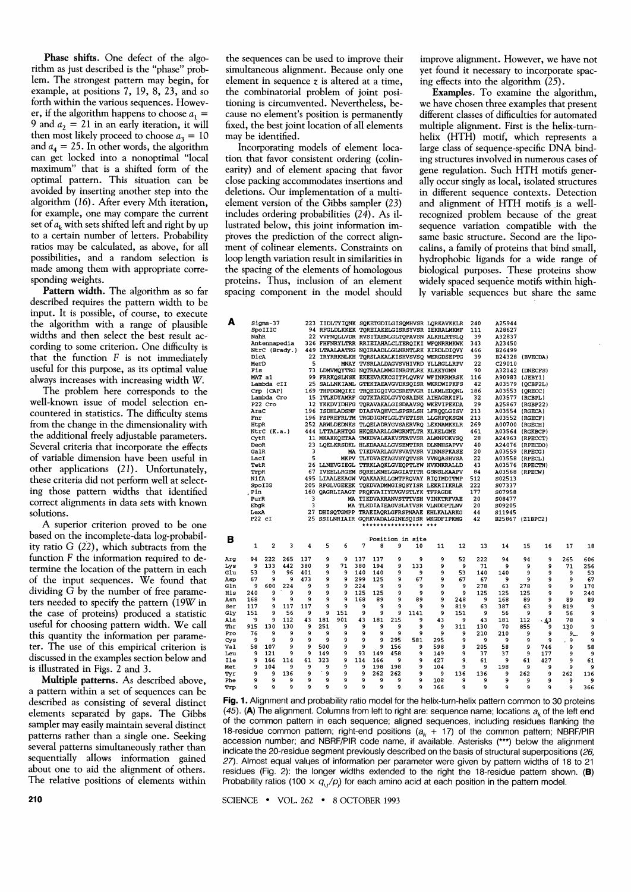**Phase shifts.** One defect of the algorithm as just described is the "phase" problem. The strongest pattern may begin, for example, at positions 7, 19, 8, 23, and so forth within the various sequences. However, if the algorithm happens to choose  $a_1 =$ 9 and  $a_2 = 21$  in an early iteration, it will then most likely proceed to choose  $a_3 = 10$ and  $a_4 = 25$ . In other words, the algorithm can get locked into a nonoptimal "local maximum" that is a shifted form of the optimal pattern. This situation can be avoided by inserting another step into the algorithm (16). After every Mth iteration, for example, one may compare the current set of  $a_k$  with sets shifted left and right by up to a certain number of letters. Probability ratios may be calculated, as above, for all possibilities, and a random selection is made among them with appropriate corresponding weights.

**Pattern width.** The algorithm as so far described requires the pattern width to be input. It is possible, of course, to execute the algorithm with a range of plausible widths and then select the best result according to some criterion. One difficulty is that the function  $F$  is not immediately useful for this purpose, as its optimal value always increases with increasing width W.

The problem here corresponds to the well-known issue of model selection encountered in statistics. The difficulty stems from the change in the dimensionality with the additional freely adjustable parameters. Several criteria that incorporate the effects of variable dimension have been useful in other applications (21). Unfortunately, these criteria did not perform well at selecting those pattern widths that identified correct alignments in data sets with known solutions.

A superior criterion proved to be one based on the incomplete-data log-probability ratio G (22), which subtracts from the function F the information required to determine the location of the pattern in each of the input sequences. We found that dividing G by the number of free parameters needed to specify the pattern (19W in the case of proteins) produced a statistic useful for choosing pattern width. We call this quantity the information per parameter. The use of this empirical criterion is discussed in the examples section below and is illustrated in Figs. 2 and 3.

**Multiple patterns.** As described above, a pattern within a set of sequences can be described as consisting of several distinct elements separated by gaps. The Gibbs sampler may easily maintain several distinct patterns rather than a single one. Seeking several patterns simultaneously rather than sequentially allows information gained about one to aid the alignment of others. The relative positions of elements within

the sequences can be used to improve their simultaneous alignment. Because only one element in sequence *z* is altered at a time, the combinatorial problem of joint positioning is circumvented. Nevertheless, because no element's position is permanently fixed, the best joint location of all elements may be identified.

Incorporating models of element location that favor consistent ordering (colinearity) and of element spacing that favor close packing accommodates insertions and deletions. Our implementation of a multielement version of the Gibbs sampler (23) includes ordering probabilities (24). As illustrated below, this joint information improves the prediction of the correct alignment of colinear elements. Constraints on loop length variation result in similarities in the spacing of the elements of homologous proteins. Thus, inclusion of an element spacing component in the model should

improve alignment. However, we have not yet found it necessary to incorporate spacing effects into the algorithm (25).

**Examples.** To examine the algorithm, we have chosen three examples that present different classes of difficulties for automated multiple alignment. First is the helix-turnhelix (HTH) motif, which represents a large class of sequence-specific DNA binding structures involved in numerous cases of gene regulation. Such HTH motifs generally occur singly as local, isolated structures in different sequence contexts. Detection and alignment of HTH motifs is a wellrecognized problem because of the great sequence variation compatible with the same basic structure. Second are the lipocalins, a family of proteins that bind small, hydrophobic ligands for a wide range of biological purposes. These proteins show widely spaced sequence motifs within highly variable sequences but share the same

| A          |               | $Siama-37$              |     |     |     |     |     |     |     |                                    | 223 IIDLTYIQNK SQKETGDILGISQMHVSR LQRKAVKKLR |     | 240    | A25944             |     |       |     |     |
|------------|---------------|-------------------------|-----|-----|-----|-----|-----|-----|-----|------------------------------------|----------------------------------------------|-----|--------|--------------------|-----|-------|-----|-----|
|            | SpoIIIC       |                         |     |     |     |     |     |     |     |                                    | 94 RFGLDLKKEK TOREIAKELGISRSYVSR IEKRALMKMF  |     | 111    | A28627             |     |       |     |     |
|            | NahR          |                         |     |     |     |     |     |     |     |                                    | 22 VVFNQLLVDR RVSITAENLGLTQPAVSN ALKRLRTSLQ  |     | 39     | A32837             |     |       |     |     |
|            | Antennapedia  |                         |     |     |     |     |     |     |     |                                    | 326 FHFNRYLTRR RRIEIAHALCLTERQIKI WFONRRMKWK |     | 343    | A23450             |     |       |     |     |
|            | NtrC (Brady.) |                         |     |     |     |     |     |     |     |                                    | 449 LTAALAATRG NOIRAADLLGLNRNTLRK KIRDLDIQVY |     | 466    | B <sub>26499</sub> |     |       |     |     |
|            | DicA          |                         |     |     |     |     |     |     |     |                                    | 22 IRYRRKNLKH TORSLAKALKISHVSVSO WERGDSEPTG  |     | 39     | B24328 (BVECDA)    |     |       |     |     |
|            | MerD          |                         | 5   |     |     |     |     |     |     | MNAY TVSRLALDAGVSVHIVRD YLLRGLLRPV |                                              | 22  | C29010 |                    |     |       |     |     |
|            | Fis           |                         |     |     |     |     |     |     |     |                                    | 73 LDMVMQYTRG NOTRAALMMGINRGTLRK KLKKYGMN    |     | 90     | A32142 (DNECFS)    |     |       |     |     |
|            |               | MAT a1                  |     |     |     |     |     |     |     |                                    | 99 FRRKOSLNSK EKEEVAKKCGITPLOVRV WFINKRMRSK  |     | 116    | A90983 (JEBY1)     |     |       |     |     |
|            |               | Lambda cII              |     |     |     |     |     |     |     |                                    | 25 SALLNKIAML GTEKTAEAVGVDKSQISR WKRDWIPKFS  |     | 42     | A03579 (QCBP2L)    |     |       |     |     |
|            |               | Crp (CAP)               |     |     |     |     |     |     |     |                                    | 169 THPDGMOIKI TROEIGOIVGCSRETVGR ILKMLEDONL |     | 186    | A03553 (QRECC)     |     |       |     |     |
|            |               |                         |     |     |     |     |     |     |     |                                    | 15 ITLKDYAMRF GOTKTAKDLGVYOSAINK AIHAGRKIFL  |     | 32     | A03577 (RCBPL)     |     |       |     |     |
|            | Lambda Cro    |                         |     |     |     |     |     |     |     |                                    | 12 YKKDVIDHFG TORAVAKALGISDAAVSO WKEVIPEKDA  |     | 29     | A25867 (RGBP22)    |     |       |     |     |
|            | P22 Cro       |                         |     |     |     |     |     |     |     |                                    | 196 ISDHLADSNF DIASVAQHVCLSPSRLSH LFRQQLGISV |     | 213    | A03554 (RGECA)     |     |       |     |     |
|            | AraC          |                         |     |     |     |     |     |     |     |                                    |                                              |     |        |                    |     |       |     |     |
|            | Fnr           |                         |     |     |     |     |     |     |     |                                    | 196 FSPREFRLTM TRGDIGNYLGLTVETISR LLGRFOKSGM |     | 213    | A03552 (RGECF)     |     |       |     |     |
|            | HtpR          |                         |     |     |     |     |     |     |     |                                    | 252 ARWLDEDNKS TLQELADRYGVSAERVRQ LEKNAMKKLR |     | 269    | A00700 (RGECH)     |     |       |     |     |
|            | NtrC (K.a.)   |                         |     |     |     |     |     |     |     |                                    | 444 LTTALRHTQG HKQEAARLLGWGRNTLTR KLKELGME   |     | 461    | A03564 (RGKBCP)    |     |       |     |     |
|            | CytR          |                         |     |     |     |     |     |     |     |                                    | 11 MKAKKOETAA TMKDVALKAKVSTATVSR ALMNPDKVSO  |     | 28     | A24963 (RPECCT)    |     |       |     |     |
|            | DeoR          |                         |     |     |     |     |     |     |     |                                    | 23 LOELKRSDKL HLKDAAALLGVSEMTIRR DLNNHSAPVV  |     | 40     | A24076 (RPECDO)    |     |       |     |     |
|            | GalR          |                         |     | 3   |     |     |     |     |     |                                    | MA TIKDVARLAGVSVATVSR VINNSPKASE             |     | 20     | A03559 (RPECG)     |     |       |     |     |
|            | LacI          |                         |     | 5   |     |     |     |     |     |                                    | MKPV TLYDVAEYAGVSYQTVSR VVNQASHVSA           |     | 22     | A03558 (RPECL)     |     |       |     |     |
|            | TetR          |                         |     |     |     |     |     |     |     |                                    | 26 LLNEVGIEGL TTRKLAOKLGVEOPTLYW HVKNKRALLD  |     | 43     | A03576 (RPECTN)    |     |       |     |     |
|            | TrpR          |                         |     |     |     |     |     |     |     |                                    | 67 IVEELLRGEM SQRELKNELGAGIATITR GSNSLKAAPV  |     | 84     | A03568 (RPECW)     |     |       |     |     |
|            | NifA          |                         |     |     |     |     |     |     |     |                                    | 495 LIAALEKAGW VOAKAARLLGMTPROVAY RIOIMDITMP |     | 512    | S02513             |     |       |     |     |
|            |               | SpoIIG                  |     |     |     |     |     |     |     |                                    | 205 RFGLVGEEEK TOKDVADMMGISOSYISR LEKRIIKRLR |     | 222    | S07337             |     |       |     |     |
|            | . Pin         |                         |     |     |     |     |     |     |     |                                    | 160 QAGRLIAAGT PROKVAIIYDVGVSTLYK TFPAGDK    |     | 177    | S07958             |     |       |     |     |
|            | PurR          |                         |     | 3   |     |     |     |     |     |                                    | MA TIKDVAKRANVSTTTVSH VINKTRFVAE             |     | 20     | 508477             |     |       |     |     |
|            | EbgR          |                         |     | 3   |     |     |     |     |     |                                    | MA TLKDIAIEAGVSLATVSR VLNDDPTLNV             |     | 20     | \$09205            |     |       |     |     |
|            | LexA          |                         |     |     |     |     |     |     |     |                                    | 27 DHISQTGMPP TRAEIAQRLGFRSPNAAE EHLKALARKG  |     | 44     | S11945             |     |       |     |     |
|            |               | P22 cI                  |     |     |     |     |     |     |     |                                    | 25 SSILNRIAIR GORKVADALGINESOISR WKGDFIPKMG  |     | 42     | B25867 (Z1BPC2)    |     |       |     |     |
|            |               |                         |     |     |     |     |     |     |     | ***************** ***              |                                              |     |        |                    |     |       |     |     |
|            |               |                         |     |     |     |     |     |     |     |                                    |                                              |     |        |                    |     |       |     |     |
| в          |               |                         |     |     |     |     |     |     |     | Position in site                   |                                              |     |        |                    |     |       |     |     |
|            | 1             | $\overline{\mathbf{2}}$ | 3   | 4   | 5   | 6   | 7   | 8   | 9   | 10                                 | 11                                           | 12  | 13     | 14                 | 15  | 16    | 17  | 18  |
|            |               |                         |     |     |     |     |     |     |     |                                    |                                              |     |        |                    |     |       |     |     |
|            | 94            | 222                     | 265 | 137 | 9   | 9   | 137 | 137 | 9   | 9                                  | 9                                            | 52  | 222    | 94                 | 94  | 9     | 265 | 606 |
| Arg<br>Lys | 9             | 133                     | 442 | 380 | 9   | 71  | 380 | 194 | 9   | 133                                | 9                                            | 9   | 71     | 9                  | 9   | 9     | 71  | 256 |
|            | 53            | 9                       | 96  | 401 | 9   | 9   | 140 |     | 9   | 9                                  | 9                                            |     |        |                    | 9   |       |     |     |
| Glu        |               | 9                       | 9   |     |     | 9   |     | 140 |     |                                    |                                              | 53  | 140    | 140                |     | 9     | 9   | 53  |
| Asp        | 67            |                         |     | 473 | 9   |     | 299 | 125 | 9   | 67                                 | 9                                            | 67  | 67     | 9                  | 9   | 9     | 9   | 67  |
| Gln        | 9             | 600                     | 224 | 9   | 9   | 9   | 224 | 9   | 9   | 9                                  | 9                                            | و   | 278    | 63                 | 278 | 9     | 9   | 170 |
| His        | 240           | 9                       | 9   | 9   | 9   | 9   | 125 | 125 | 9   | 9                                  | 9                                            | 9   | 125    | 125                | 125 | 9     | 9   | 240 |
| Asn        | 168           | 9                       | 9   | 9   | 9   | 9   | 168 | 89  | 9   | 89                                 | 9                                            | 248 | 9      | 168                | 89  | 9     | 89  | 89  |
| Ser        | 117           | 9                       | 117 | 117 | 9   | 9   | 9   | 9   | 9   | 9                                  | 9                                            | 819 | 63     | 387                | 63  | 9     | 819 | 9   |
| Gly        | 151           | 9                       | 56  | 9   | 9   | 151 | 9   | 9   | 9   | 1141                               | 9                                            | 151 | 9      | 56                 | 9   | 9     | 56  | 9   |
| Ala        | و٠            | 9                       | 112 | 43  | 181 | 901 | 43  | 181 | 215 | 9                                  | 43                                           | 9   | 43     | 181                | 112 | $-43$ | 78  | 9   |
| Thr        | 915           | 130                     | 130 | 9   | 251 | 9   | 9   | 9   | 9   | 9                                  | 9                                            | 311 | 130    | 70                 | 855 | g.    | 130 | 9   |
| Pro        | 76            | 9                       | 9   | 9   | 9   | 9   | 9   | 9   | 9   | 9                                  | 9                                            | 9   | 210    | 210                | 9   | 9     | 9   | 9   |
| Cys        | 9             | 9                       | 9   | 9   | 9   | 9   | 9   | 9   | 295 | 581                                | 295                                          | 9   | 9      | 9                  | 9   | 9     | . 9 | 9   |
| Val        | 58            | 107                     | 9   | 9   | 500 | 9   | 9   | 9   | 156 | 9                                  | 598                                          | 9   | 205    | 58                 | 9   | 746   | 9   | 58  |
| Leu        | 9             | 121                     | 9   | 9   | 149 | 9   | 93  | 149 | 458 | 9                                  | 149                                          | 9   | 37     | 37                 | 9   | 177   | 9   | 9   |
| Ile        | 9             | 166                     | 114 | 61  | 323 | 9   | 114 | 166 | 9   | 9                                  | 427                                          | 9.  | 61     | 9                  | 61  | 427   | 9   | 61  |
| Met        | 9             | 104                     | 9   | 9   | 9   | 9   | و   | 198 | 198 | 9                                  | 104                                          | 9   | 9      | 198                | 9   | 9     | 9   | 9   |
| Tyr        | 9             | 9                       | 136 | 9   | 9   | 9   | 9   | 262 | 262 | 9                                  | 9                                            | 136 | 136    | 9                  | 262 | 9     | 262 | 136 |
| Phe        | 9             | 9                       | 9   | 9   | 9   | 9   | 9   | 9   | 9   | 9                                  | 108                                          | 9   | 9      | 9                  | 9   | 9     | 9   | 9   |
| Trp        | 9             | 9                       | 9   | 9   | 9   | 9   | 9   | 9   | 9   | 9                                  | 366                                          | 9   | 9      | 9                  | 9   | 9     | 9   | 366 |
|            |               |                         |     |     |     |     |     |     |     |                                    |                                              |     |        |                    |     |       |     |     |

Fig. 1. Alignment and probability ratio model for the helix-turn-helix pattern common to 30 proteins (45). **(A)** The alignment. Columns from left to right are: sequence name; locations  $a_k$  of the left end of the common pattern in each sequence; aligned sequences, including residues flanking the 18-residue common pattern; right-end positions  $(a<sub>k</sub> + 17)$  of the common pattern; NBRF/PIR accession number; and NBRF/PIR code name, if available. Asterisks (\*\*\*) below the alignment indicate the 20-residue segment previously described on the basis of structural superpositions (26, 27). Almost equal values of information per parameter were given by pattern widths of 18 to 21 residues (Fig. 2): the longer widths extended to the right the 18-residue pattern shown. (B) Probability ratios (100  $\times$   $q_{i,j}/p_j$ ) for each amino acid at each position in the pattern model.

SCIENCE • VOL. 262 • 8 OCTOBER 1993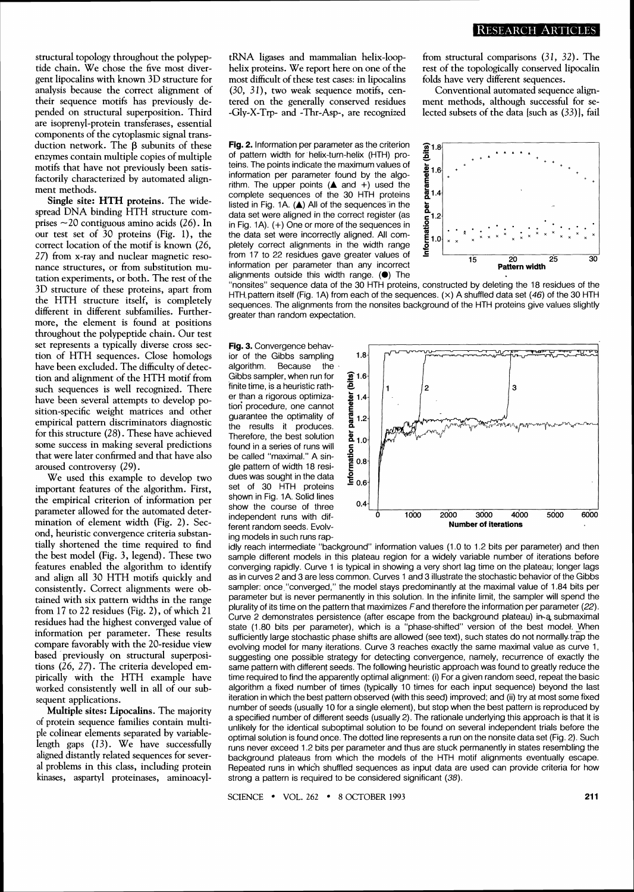structural topology throughout the polypeptide chain. We chose the five most divergent lipocalins with known 3D structure for analysis because the correct alignment of their sequence motifs has previously depended on structural superposition. Third are isoprenyl-protein transferases, essential components of the cytoplasmic signal transduction network. The  $\beta$  subunits of these enzymes contain multiple copies of multiple motifs that have not previously been satisfactorily characterized by automated alignment methods.

Single site: **HTH** proteins. The widespread DNA binding HTH structure comprises  $\sim$  20 contiguous amino acids (26). In our test set of 30 proteins (Fig. I), the correct location of the motif is known (26, 27) from x-ray and nuclear magnetic resonance structures, or from substitution mutation experiments, or both. The rest of the 3D structure of these proteins, apart from the HTH structure itself, is completely different in different subfamilies. Furthermore, the element is found at positions throughout the polypeptide chain. Our test set represents a typically diverse cross section of HTH sequences. Close homologs have been excluded. The difficulty of detection and alignment of the HTH motif from such sequences is well recognized. There have been several attempts to develop position-specific weight matrices and other empirical pattern discriminators diagnostic for this structure (28). These have achieved some success in making several predictions that were later confirmed and that have also aroused controversy (29).

We used this example to develop two important features of the algorithm. First, the empirical criterion of information per parameter allowed for the automated determination of element width (Fig. 2). Second, heuristic convergence criteria substantially shortened the time required to find the best model (Fig. 3, legend). These two features enabled the algorithm to identify and align all 30 HTH motifs quickly and consistently. Correct alignments were obtained with six pattern widths in the range from 17 to 22 residues (Fig. 2), of which 21 residues had the highest converged value of information per parameter, These results compare favorably with the 20-residue view based previously on structural superpositions (26, 27). The criteria developed empirically with the HTH example have worked consistently well in all of our subsequent applications.

Multiple sites: Lipocalins. The majority of protein sequence families contain multiple colinear elements separated by variablelength gaps (13). We have successfully aligned distantly related sequences for several problems in this class, including protein kinases, aspartyl proteinases, aminoacyltRNA ligases and mammalian helix-loop-<br>helix proteins. We report here on one of the rest of the topologically conserved lipocalin most difficult of these test cases: in lipocalins folds have very different sequences.<br>(30, 31), two weak sequence motifs, cen-<br>Conventional automated sequence align-(30, 31), two weak sequence motifs, cen-<br>tered on the generally conserved residues ment methods, although successful for setered on the generally conserved residues ment methods, although successful for se-<br>Gly-X-Trp- and -Thr-Asp-, are recognized lected subsets of the data [such as (33)], fail -Gly-X-Trp- and -Thr-Asp-, are recognized

**Fig. 2.** Information per parameter as the criterion  $\frac{1}{2}$  1.8 of pattern width for helix-turn-helix (HTH) proof pattern width for helix-turn-helix (HTH) proteins. The points indicate the maximum values of information per parameter found by the algoteins. The points indicate the maximum values of<br>information per parameter found by the algo-<br>rithm. The upper points  $(A \text{ and } +)$  used the<br>complete sequences of the 30 HTH proteins  $\frac{1}{2}$ 1.4 complete sequences of the 30 HTH proteins listed in Fig. 1A.  $(\triangle)$  All of the sequences in the  $\overline{\bullet}$ data set were aligned in the correct register (as<br>in Fig. 1A). (+) One or more of the sequences in<br>the data set were incorrectly aligned. All com-<br>pletely correct alignments in the width range<br>from 17 to 22 residues gave g in Fig. 1A). (+) One or more of the sequences in the data set were incorrectly aligned. All completely correct alignments in the width range from 17 to 22 residues gave greater values of alignments outside this width range. **(e)** The

rest of the topologically conserved lipocalin<br>folds have very different sequences.



"nonsites" sequence data of the 30 HTH proteins, constructed by deleting the 18 residues of the HTH pattern itself (Fig. 1A) from each of the sequences. (x) A shuffled data set (46) of the 30 HTH sequences. The alignments from the nonsites background of the HTH proteins give values slightly greater than random expectation.

**Fig. 3.** Convergence behav-<br>ior of the Gibbs sampling algorithm. Because  $the$ Gibbs sampler, when run for **20** 1.6<br>
finite time, is a heuristic rathfinite time, is a heuristic rath-<br>er than a rigorous optimiza-<br>tion procedure, one cannot<br>guarantee the optimality of<br>the results it produces.<br> $\frac{a}{b}$ er than a rigorous optimiza- **5 1.4**  tion procedure, one cannot guarantee the optimality of **2 1.2.**  the results it produces. **E**<br>Therefore, the best solution **b**, **a**, **1.0**<br> $\overrightarrow{P}$ found in a series of runs will<br>be called "maximal." A sin-<br>gle pattern of width 18 resibe called "maximal." A single pattern of width 18 residues was sought in the data set of 30 HTH proteins shown in Fig. 1A. Solid lines show the course of three **0.41** <sup>1</sup> ferent random seeds. Evolving models in such runs rap-



idly reach intermediate "background" information values (1.0 to 1.2 bits per parameter) and then sample different models in this plateau region for a widely variable number of iterations before converging rapidly. Curve 1 is typical in showing a very short lag time on the plateau; longer lags as in curves 2 and 3 are less common. Curves 1 and 3 illustrate the stochastic behavior of the Gibbs sampler: once "converged," the model stays predominantly at the maximal value of 1.84 bits per parameter but is never permanently in this solution. In the infinite limit, the sampler will spend the plurality of its time on the pattern that maximizes F and therefore the information per parameter (22). Curve 2 demonstrates persistence (after escape from the background plateau) in.a submaximal state (1.80 bits per parameter), which is a "phase-shifted" version of the best model. When sufficiently large stochastic phase shifts are allowed (see text), such states do not normallytrap the evolving model for many iterations. Curve 3 reaches exactly the same maximal value as curve 1, suggesting one possible strategy for detecting convergence, namely, recurrence of exactly the same pattern with different seeds. The following heuristic approach was found to greatly reduce the time required to find the apparently optimal alignment: (i) For a given random seed, repeat the basic algorithm a fixed number of times (typically 10 times for each input sequence) beyond the last iteration in which the best pattern observed (with this seed) improved; and (ii) try at most some fixed number of seeds (usually 10 for a single element), but stop when the best pattern is reproduced by a specified number of different seeds (usually 2). The rationale underlying this approach is that it is unlikely for the identical suboptimal solution to be found on several independent trials before the optimal solution is found once. The dotted line represents a run on the nonsite data set (Fig. 2). Such runs never exceed 1.2 bits per parameter and thus are stuck permanently in states resembling the background plateaus from which the models of the HTH motif alignments eventually escape. Repeated runs in which shuffled sequences as input data are used can provide criteria for how strong a pattern is required to be considered significant (38).

SCIENCE • VOL. 262 • 8 OCTOBER 1993 211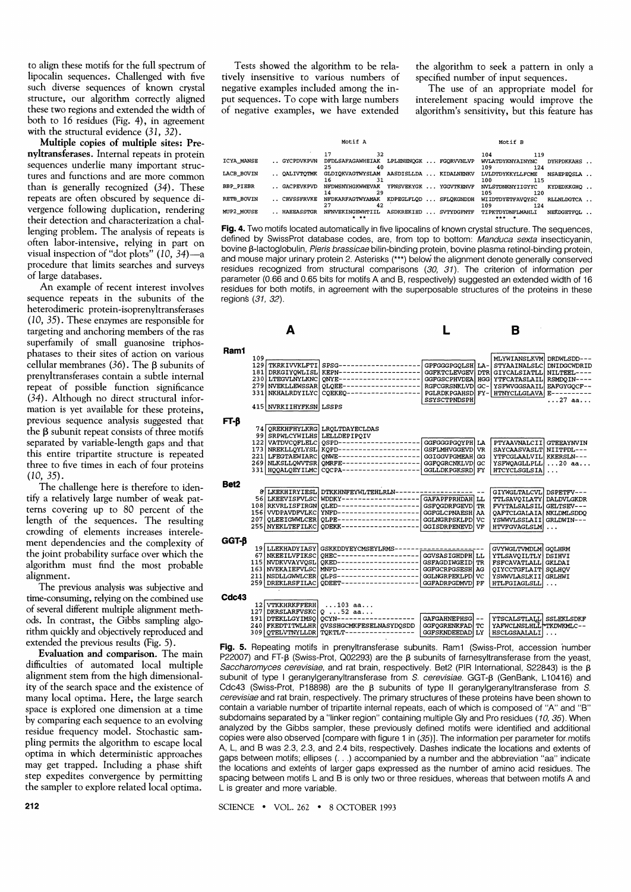to align these motifs for the full spectrum of lipocalin sequences. Challenged with five such diverse sequences of known crystal structure, our algorithm correctly aligned these two regions and extended the width of both to 16 residues (Fig. 4), in agreement with the structural evidence  $(31, 32)$ .

Multiple copies of multiple sites: Prenyltransferases. Internal repeats in protein sequences underlie many important structures and functions and are more common than is generally recognized (34). These repeats are often obscured by sequence divergence following duplication, rendering their detection and characterization a challenging problem. The analysis of repeats is often labor-intensive, relying in part on visual inspection of "dot plots"  $(10, 34)$ —a procedure that limits searches and surveys of large databases.

An example of recent interest involves sequence repeats in the subunits of the heterodimeric protein-isoprenyltransferases (10, 35). These enzymes are responsible for targeting and anchoring members of the ras superfamily of small guanosine triphosphatases to their sites of action on various cellular membranes (36). The  $\beta$  subunits of prenyltransferases contain a subtle internal repeat of possible function significance (34). Although no direct structural information is yet available for these proteins, previous sequence analysis suggested that the  $\beta$  subunit repeat consists of three motifs separated by variable-length gaps and that this entire tripartite structure is repeated three to five times in each of four proteins (10, 35).

The challenge here is therefore to identify a relatively large number of weak patterns covering up to 80 percent of the length of the sequences. The resulting crowding of elements increases interelement dependencies and the complexity of the joint probability surface over which the algorithm must find the most probable alignment.

The previous analysis was subjective and time-consuming, relying on the combined use of several different multiple alignment methods. In contrast, the Gibbs sampling algorithm quickly and objectively reproduced and extended the previous results (Fig. 5).

Evaluation and comparison. The main difficulties of automated local multiple alignment stem from the high dimensionality of the search space and the existence of many local optima. Here, the large search space is explored one dimension at a time by comparing each sequence to an evolving residue frequency model. Stochastic sampling permits the algorithm to escape local optima in which deterministic approaches may get trapped. Including a phase shift step expedites convergence by permitting the sampler to explore related local optima.

tively insensitive to various numbers of negative examples included among the innegative examples included among the in-<br>
put sequences. To cope with large numbers interelement spacing would improve the put sequences. To cope with large numbers interelement spacing would improve the of negative examples, we have extended algorithm's sensitivity, but this feature has

Tests showed the algorithm to be rela-<br>
ely insensitive to various numbers of specified number of input sequences.

algorithm's sensitivity, but this feature has

|                  |                   | Motif A                               | Motif B                                                         |  |  |  |  |  |
|------------------|-------------------|---------------------------------------|-----------------------------------------------------------------|--|--|--|--|--|
|                  |                   | 17<br>32                              | 104<br>119                                                      |  |  |  |  |  |
| ICYA MANSE       | <b>GYCPDVKPVN</b> | <b>DFDLSAFAGAWHEIAK</b>               | LPLENENOGK  FGORVVNLVP<br><b>WVLATDYKNYAINYNC</b><br>DYHPDKKAHS |  |  |  |  |  |
|                  |                   | 25<br>40                              | 109<br>124                                                      |  |  |  |  |  |
| LACB BOVIN       | <b>OALIVTOTMK</b> | AASDISLLDA<br>GLDIOKVAGTWYSLAM        | KIDALNENKV<br>LVLDTDYKKYLLFCME<br>NSAEPEOSLA                    |  |  |  |  |  |
|                  |                   | 16<br>31                              | 100<br>115                                                      |  |  |  |  |  |
| <b>BBP PIEBR</b> | <b>GACPEVKPVD</b> | YPNSVEKYGK<br>NFDWSNYHGKWWEVAK        | NVLSTDNKNYIIGYYC<br>YGGVTKENVF<br>KYDEDKKGHO                    |  |  |  |  |  |
|                  |                   | 29<br>14                              | 105<br>120                                                      |  |  |  |  |  |
| RETB BOVIN       | <b>CRVSSFRVKE</b> | NFDKARFAGTWYAMAK<br>KDPEGLFLOD        | <b>SFLOKGNDDH</b><br>WI IDTDYETFAVOYSC<br>RLLNLDGTCA            |  |  |  |  |  |
|                  |                   | 27<br>42                              | 109<br>124                                                      |  |  |  |  |  |
| MUP2 MOUSE       | <b>HAEEASSTGR</b> | NFNVEKINGEWHTIIL<br><b>ASDKREKTED</b> | NEKDGETFOL<br><b>SVTYDGFNTF</b><br>TIPKTDYDNFLMAHLI<br>$\cdots$ |  |  |  |  |  |
|                  |                   | * **                                  | ***                                                             |  |  |  |  |  |

Fig. 4. Two motifs located automatically in five lipocalins of known crystal structure. The sequences, defined by SwissProt database codes, are, from top to bottom: Manduca sexta insecticyanin, bovine β-lactoglobulin, Pieris brassicae bilin-binding protein, bovine plasma retinol-binding protein, and mouse major urinary protein 2. Asterisks (\*\*\*) below the alignment denote generally conserved residues recognized from structural comparisons (30, 31). The criterion of information per parameter (0.66 and 0.65 bits for motifs A and B, respectively) suggested an extended width of 16 residues for both motifs, in agreement with the superposable structures of the proteins in these regions (31, 32).

| BBP_PIEBR<br>GACPEVKPVD                                                                                                                                                                         | NFDWSNYHGKWWEVAK YPNSVEKYGK  YGGVTKENVF                                                          |                                               | -w<br>.<br>NVLSTDNKNYIIGYYC                               | KYDEDKKGHQ                      |  |  |  |  |  |  |  |
|-------------------------------------------------------------------------------------------------------------------------------------------------------------------------------------------------|--------------------------------------------------------------------------------------------------|-----------------------------------------------|-----------------------------------------------------------|---------------------------------|--|--|--|--|--|--|--|
| RETB BOVIN<br><b>CRVSSFRVKE</b>                                                                                                                                                                 | 14<br>29<br>NFDKARFAGTWYAMAK<br>KDPEGLFLQD                                                       | <b>SFLOKGNDDH</b>                             | 105<br>120<br>WI IDTDYETFAVOYSC                           | <b>RLLNLDGTCA</b>               |  |  |  |  |  |  |  |
| MUP2_MOUSE<br><b>HAEEASSTGR</b>                                                                                                                                                                 | 27<br>42<br>NFNVEKINGEWHTIIL                                                                     | ASDKREKIED  SVTYDGFNTF                        | 109<br>124<br>TIPKTDYDNFLMAHLI                            | NERDGETFOL                      |  |  |  |  |  |  |  |
|                                                                                                                                                                                                 |                                                                                                  |                                               |                                                           |                                 |  |  |  |  |  |  |  |
| Fig. 4. Two motifs located automatically in five lipocalins of known crystal structure. The sequences,                                                                                          |                                                                                                  |                                               |                                                           |                                 |  |  |  |  |  |  |  |
| defined by SwissProt database codes, are, from top to bottom: Manduca sexta insecticyanin,                                                                                                      |                                                                                                  |                                               |                                                           |                                 |  |  |  |  |  |  |  |
| bovine β-lactoglobulin, Pieris brassicae bilin-binding protein, bovine plasma retinol-binding protein,                                                                                          |                                                                                                  |                                               |                                                           |                                 |  |  |  |  |  |  |  |
| and mouse major urinary protein 2. Asterisks (***) below the alignment denote generally conserved                                                                                               |                                                                                                  |                                               |                                                           |                                 |  |  |  |  |  |  |  |
| residues recognized from structural comparisons (30, 31). The criterion of information per<br>parameter (0.66 and 0.65 bits for motifs A and B, respectively) suggested an extended width of 16 |                                                                                                  |                                               |                                                           |                                 |  |  |  |  |  |  |  |
|                                                                                                                                                                                                 |                                                                                                  |                                               |                                                           |                                 |  |  |  |  |  |  |  |
|                                                                                                                                                                                                 | residues for both motifs, in agreement with the superposable structures of the proteins in these |                                               |                                                           |                                 |  |  |  |  |  |  |  |
| regions (31, 32).                                                                                                                                                                               |                                                                                                  |                                               |                                                           |                                 |  |  |  |  |  |  |  |
|                                                                                                                                                                                                 |                                                                                                  |                                               |                                                           |                                 |  |  |  |  |  |  |  |
| Д                                                                                                                                                                                               |                                                                                                  |                                               | в                                                         |                                 |  |  |  |  |  |  |  |
|                                                                                                                                                                                                 |                                                                                                  |                                               |                                                           |                                 |  |  |  |  |  |  |  |
| Ram1                                                                                                                                                                                            |                                                                                                  |                                               |                                                           |                                 |  |  |  |  |  |  |  |
| 109                                                                                                                                                                                             |                                                                                                  |                                               | <b>MLYWIANSLKVM</b>                                       | DRDWLSDD---                     |  |  |  |  |  |  |  |
| 129<br>TKRKIVVKLFTI<br>181 DRKGIYOWLISL                                                                                                                                                         | SPSG-<br>KEPN-                                                                                   | GPFGGGPGQLSH<br><b>GGFKTCLEVGEV</b>           | STYAAINALSLC<br>LA-<br><b>DTR</b><br>GIYCALSIATLL         | DNIDGCWDRID<br>NILTEEL----      |  |  |  |  |  |  |  |
| 230 LTEGVLNYLKNC                                                                                                                                                                                | ONYE--                                                                                           | <b>GGFGSCPHVDEA</b>                           | HGG<br><b>YTFCATASLAIL</b>                                | RSMDQIN----                     |  |  |  |  |  |  |  |
| 279 NVEKLLEWSSAR                                                                                                                                                                                | QLQEE-                                                                                           | RGFCGRSNKLVD                                  | GC-<br>YSFWVGGSAAIL                                       | EAFGYGOCF--                     |  |  |  |  |  |  |  |
| 331   NKHALRDYILYC                                                                                                                                                                              | <b>COEKEO</b>                                                                                    | PGLRDKPGAHSD<br>SSYSCTPNDSPH                  | $FY-$<br>HTNYCLLGLAVA                                     | $E - - - - - - -$<br>27 aa      |  |  |  |  |  |  |  |
| 415 NVRKIIHYFKSN LSSPS                                                                                                                                                                          |                                                                                                  |                                               |                                                           |                                 |  |  |  |  |  |  |  |
| FT-B                                                                                                                                                                                            |                                                                                                  |                                               |                                                           |                                 |  |  |  |  |  |  |  |
| 74 QREKHFHYLKRG                                                                                                                                                                                 | LROLTDAYECLDAS                                                                                   |                                               |                                                           |                                 |  |  |  |  |  |  |  |
| 99<br><b>SRPWLCYWILHS</b>                                                                                                                                                                       | LELLDEPIPOIV                                                                                     |                                               |                                                           |                                 |  |  |  |  |  |  |  |
| 122 VATDVCQFLELC<br><b>173   NREKLLQYLYSL</b>                                                                                                                                                   | $OSPD---$<br>$KOPD---$                                                                           | GGFGGGPGQYPH LA<br><b>GSFLMHVGGEVD</b>        | PTYAAVNALCII<br><b>VR</b><br><b>SAYCAASVASLT</b>          | <b>GTEEAYNVIN</b><br>NIITPDL--- |  |  |  |  |  |  |  |
| <b>221 LFEGTAEWIARC</b>                                                                                                                                                                         | ONWE--                                                                                           | GGIGGVPGMEAH GG                               | YTFCGLAALVIL                                              | KKERSLN---                      |  |  |  |  |  |  |  |
| 269   NLKSLLQWVTSR<br>331 HQQALQEYILMC                                                                                                                                                          | QMRFE-<br>COCPA-                                                                                 | GGFQGRCNKLVD GC<br>GGLLDKPGKSRD FY            | YSFWQAGLLPLL                                              | $20$ aa                         |  |  |  |  |  |  |  |
|                                                                                                                                                                                                 |                                                                                                  |                                               | HTCYCLSGLSIA                                              | $\ddotsc$                       |  |  |  |  |  |  |  |
| Bet <sub>2</sub>                                                                                                                                                                                |                                                                                                  |                                               |                                                           |                                 |  |  |  |  |  |  |  |
| 8 LKEKHIRYIESL<br>56 LKEEVISFVLSC                                                                                                                                                               | DTKKHNFEYWLTEHLRLN-<br>WDDKY--                                                                   | GAFAPFPRHDAH LL                               | <b>GIYWGLTALCVL</b><br>TTLSAVQILATY                       | DSPETFV---<br>DALDVLGKDR        |  |  |  |  |  |  |  |
| 108 RKVRLISFIRGN                                                                                                                                                                                | OLED-                                                                                            | <b>GSFOGDRFGEVD</b>                           | TR<br><b>FVYTALSALSIL</b>                                 | GELTSEV---                      |  |  |  |  |  |  |  |
| 156   VVDPAVDFVLKC<br>207                                                                                                                                                                       | YNFD-<br>QLPE--                                                                                  | <b>GGFGLCPNAESH   AA</b>                      | QAFTCLGALAIA<br><b>VC</b>                                 | NKLDMLSDDQ                      |  |  |  |  |  |  |  |
| QLEEIGWWLCER<br>255 NYEKLTEFILKC                                                                                                                                                                | QDEKK-                                                                                           | <b>GGLNGRPSKLPD</b><br><b>GGISDRPENEVD VF</b> | YSWWVLSSLAII<br>HTVFGVAGLSLM                              | GRLDWIN---<br>.                 |  |  |  |  |  |  |  |
|                                                                                                                                                                                                 |                                                                                                  |                                               |                                                           |                                 |  |  |  |  |  |  |  |
| GGT-B<br>19<br>LLEKHADYIASY                                                                                                                                                                     | <b>GSKKDDYEYCMSEYLRMS</b>                                                                        |                                               | GVYWGLTVMDLM                                              | <b>GQLHRM</b>                   |  |  |  |  |  |  |  |
| 67<br><b>NKEEILVFIKSC</b>                                                                                                                                                                       | OHEC--                                                                                           | GGVSASIGHDPH LL                               | YTLSAVQILTLY                                              | <b>DSIHVI</b>                   |  |  |  |  |  |  |  |
| 115<br><b>NVDKVVAYVOSL</b>                                                                                                                                                                      | OKED--                                                                                           | GSFAGDIWGEID                                  | TR<br><b>FSFCAVATLALL</b>                                 | <b>GKLDAI</b>                   |  |  |  |  |  |  |  |
| 163<br>NVEKAIEFVLSC<br>211   NSDLLGWWLCER                                                                                                                                                       | MNFD-<br>QLPS-                                                                                   | GGFGCRPGSESH AG<br><b>GGLNGRPEKLPD VC</b>     | <b>QIYCCTGFLAIT</b><br>YSWWVLASLKII                       | <b>SOLHOV</b><br><b>GRLHWI</b>  |  |  |  |  |  |  |  |
| 259 DREKLRSFILAC                                                                                                                                                                                | <b>QDEET</b>                                                                                     | <b>GGFADRPGDMVD</b>                           | PF<br>HTLFGIAGLSLL                                        | .                               |  |  |  |  |  |  |  |
| Cdc43                                                                                                                                                                                           |                                                                                                  |                                               |                                                           |                                 |  |  |  |  |  |  |  |
| 12 VTKKHRKFFERH                                                                                                                                                                                 | 103 aa                                                                                           |                                               |                                                           |                                 |  |  |  |  |  |  |  |
| 127<br><b>DKRSLARFVSKC</b>                                                                                                                                                                      | $Q \ldots 52$ aa                                                                                 |                                               |                                                           |                                 |  |  |  |  |  |  |  |
| 191 DTEKLLGYIMSO<br>240 FKEDTITWLLHR                                                                                                                                                            | OCYN-<br>QVSSHGCMKFESELNASYDQSDD                                                                 | <b>GAFGAHNEPHSG</b><br><b>GGFOGRENKFAD</b>    | YTSCALSTLALL  SSLEKLSDKF<br>TC<br>YAFWCLNSLHLLPTKDWKMLC-- |                                 |  |  |  |  |  |  |  |
| 309   QTELVTNYLLDR                                                                                                                                                                              | TQKTLT--                                                                                         | <b>GGFSKNDEEDAD LY</b>                        | HSCLGSAALALI                                              | $\cdots$                        |  |  |  |  |  |  |  |

**Fig. 5.** Repeating motifs in prenyltransferase subunits. Ram1 (Swiss-Prot, accession number P22007) and FT- $\beta$  (Swiss-Prot, Q02293) are the  $\beta$  subunits of farnesyltransferase from the yeast, Saccharomyces cerevisiae, and rat brain, respectively. Bet2 (PIR International, S22843) is the  $\beta$ subunit of type I geranylgeranyltransferase from S. cerevisiae. GGT-β (GenBank, L10416) and Cdc43 (Swiss-Prot, P18898) are the  $\beta$  subunits of type II geranylgeranyltransferase from S. cerevisiae and rat brain, respectively. The primary structures of these proteins have been shown to contain a variable number of tripartite internal repeats, each of which is composed of "A" and "B" subdomains separated by a "linker region" containing multiple Gly and Pro residues (10, 35). When analyzed by the Gibbs sampler, these previously defined motifs were identified and additional copies were also observed [compare with figure 1 in (35)]. The information per parameter for motifs A, L, and B was 2.3, 2.3, and 2.4 bits, respectively. Dashes indicate the locations and extents of gaps between motifs; ellipses (. . .) accompanied by a number and the abbreviation "aa" indicate the locations and extehts of larger gaps expressed as the number of amino acid residues. The spacing between motifs L and B is only two or three residues, whereas that between motifs A and L is greater and more variable.

SCIENCE • VOL. 262 • 8 OCTOBER 1993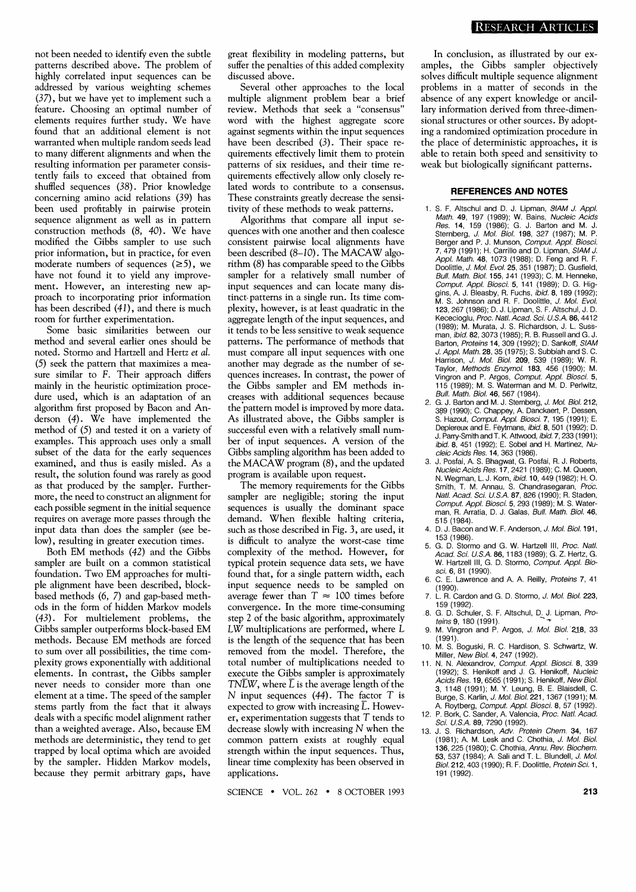not been needed to identify even the subtle patterns described above. The problem of highly correlated input sequences can be addressed by various weighting schemes (37), but we have yet to implement such a feature. Choosing an optimal number of elements requires further study. We have found that an additional element is not warranted when multiple random seeds lead to many different alignments and when the resulting information per parameter consistently fails to exceed that obtained from shuffled sequences (38). Prior knowledge concerning amino acid relations (39) has been used profitably in pairwise protein sequence alignment as well as in pattern construction methods (8, 40). We have modified the Gibbs sampler to use such prior information, but in practice, for even moderate numbers of sequences *(>5),* we have not found it to yield any improvement. However, an interesting new approach to incorporating prior information has been described (41), and there is much room for further experimentation.

Some basic similarities between our method and several earlier ones should be noted. Stormo and Hartzell and Hertz et al. (5) seek the pattern that maximizes a measure similar to F. Their approach differs mainly in the heuristic optimization procedure used, which is an adaptation of an algorithm first proposed by Bacon and Anderson (4). We have implemented the method of (5) and tested it on a variety of examples. This approach uses only a small subset of the data for the early sequences examined, and thus is easily misled. As a result, the solution found was rarely as good as that produced by the sampler. Furthermore, the need to construct an alignment for each possible segment in the initial sequence requires on average more passes through the input data than does the sampler (see below), resulting in greater execution times.

Both EM methods (42) and the Gibbs sampler are built on a common statistical foundation. Two EM approaches for multiple alignment have been described, blockbased methods (6, 7) and gap-based methods in the form of hidden Markov models (43). For multielement problems, the Gibbs sampler outperforms block-based EM methods. Because EM methods are forced to sum over all possibilities, the time complexity grows exponentially with additional elements. In contrast, the Gibbs sampler never needs to consider more than one element at a time. The speed of the sampler stems partly from the fact that it always deals with a specific model alignment rather than a weighted average. Also, because EM methods are deterministic, they tend to get trapped by local optima which are avoided by the sampler. Hidden Markov models, because they permit arbitrary gaps, have great flexibility in modeling patterns, but suffer the penalties of this added complexity discussed above.

Several other approaches to the local multiple alignment problem bear a brief review. Methods that seek a "consensus" word with the highest aggregate score against segments within the input sequences have been described (3). Their space requirements effectively limit them to protein patterns of six residues, and their time requirements effectively allow only closely related words to contribute to a consensus. These constraints greatly decrease the sensitivity of these methods to weak patterns.

Algorithms that compare all input sequences with one another and then coalesce consistent painvise local alignments have been described  $(8-10)$ . The MACAW algorithm (8) has comparable speed to the Gibbs sampler for a relatively small number of input sequences and can locate many distinct patterns in a single run. Its time complexity, however, is at least quadratic in the aggregate length of the input sequences, and it tends to be less sensitive to weak sequence patterns. The performance of methods that must compare all input sequences with one another may degrade as the number of sequences increases. In contrast, the power of the Gibbs sampler and EM methods increases with additional sequences because the pattern model is improved by more data. As illustrated above, the Gibbs sampler is successful even with a relatively small number of input sequences. A version of the Gibbs sampling algorithm has been added to the MACAW program (8), and the updated program is available upon request.

The memory requirements for the Gibbs sampler are negligible; storing the input sequences is usually the dominant space demand. When flexible halting criteria, such as those described in Fig. *3,* are used, it is difficult to analyze the worst-case time complexity of the method. However, for typical protein sequence data sets, we have found that, for a single pattern width, each input sequence needs to be sampled on average fewer than T  $\approx$  100 times before convergence. In the more time-consuming step 2 of the basic algorithm, approximately LW multiplications are performed, where L is the length of the sequence that has been removed from the model. Therefore, the total number of multiplications needed to execute the Gibbs sampler is approximately TNLW, where L is the average length of the N input sequences (44). The factor T is expected to grow with increasing  $\overline{L}$ . However, experimentation suggests that T tends to decrease slowly with increasing N when the common pattern exists at roughly equal strength within the input sequences. Thus, linear time complexity has been observed in applications.

SCIENCE • VOL. 262 • 8 OCTOBER 1993

In conclusion, as illustrated by our examples, the Gibbs sampler objectively solves difficult multiple sequence alignment problems in a matter of seconds in the absence of any expert knowledge or ancillary information derived from three-dimensional structures or other sources. By adopting a randomized optimization procedure in the place of deterministic approaches, it is able to retain both speed and sensitivity to weak but biologically significant patterns.

### **REFERENCES AND NOTES**

- 1. S. F. Altschul and D. J. Lipman, SIAM J. Appl. Math. 49, 197 (1989); W. Bains, Nucleic Acids Res. 14, 159 (1986); G. J. Barton and M. J. Sternberg, J. Mol. Biol. 198, 327 (1987); M. P. Berger and P. J. Munson, Comput. Appl. Biosci. 7, 479 (1991); H. Carrillo and D. Lipman, SIAM J. Appl. Math. 48, 1073 (1988); D. Feng and R. F. Doolittle, J. Mol. Evol. 25, 351 (1987); D. Gusfield, Bull. Math. Biol. 155, 141 (1993); C. M. Henneke, Comput. Appl. Biosci. 5, 141 (1989); D. G. Higgins, A. J. Bleasby, R. Fuchs, *ibid*. **8**, 189 (1992);<br>M. S. Johnson and R. F. Doolittle, *J. Mol. Evol.* 123, 267 (1986); D. J. Lipman, S. F. Altschul, J. D. Kececioglu, Proc. Natl. Acad. Sci. U.S.A. 86, 4412 (1989); M. Murata, J. S. Richardson, J. L. Sussman, *ibid.* 82, 3073 (1985); R. B. Russell and G. J. Barton, Proteins 14, 309 (1992); D. Sankoff, SIAM J. Appl. Math. 28, 35 (1975); S. Subbiah and S. C. Harrison, J. Mol. Biol. 209, 539 (1989); W. R. Taylor, Methods Enzymol. 183, 456 (1990); M. Vingron and P. Argos, Comput. Appl. Biosci 5, 115 (1989); M. S. Waterman and M. D. Perlwitz, Bull. Math. Biol. 46, 567 (1984).
- G. J. Barton and M. J. Sternberg, J. Mol. Biol. 212, 389 (1990); C. Chappey, A. Danckaert, P. Dessen, S. Hazout, Comput. Appl. Biosci. 7, 195 (1991); E. Depiereux and E. Feytmans, ibid. 8, 501 (1992); D. J. Parry-Smith and T. K. Attwood, *ibid.* 7, 233 (1991);  $i$ bid. 8, 451 (1992); E. Sobel and H. Martinez, Nucleic Acids Res. 14, 363 (1986).
- 3. J. Posfai,A. S. Bhagwat, G. Posfai, R. J. Roberts, NucleicAcids Res. 17, 2421 (1989); C. M. Queen, N. Wegman, L. J. Korn, ibid. 10, 449 (1982); H. 0. Smith, T. M. Annau, S. Chandrasegaran, Proc. Natl. Acad. Sci. U.S.A. **87**, 826 (1990); R. Staden,<br>*Comput. Appl. Biosci*. 5, 293 (1989); M. S. Waterman, R. Arratia, D. J. Galas, Bull. Math. Biol. 46, 515 (1984).
- 4. D. J. Bacon and W. F. Anderson, J. Mol. Biol. 191, 153 (1986).
- 5. G. D. Stormo and G. W. Hartzell Ill, Proc. Natl. Acad. Sci. U.S.A.86, 1183 (1989), G. Z. Hertz, G. W. Hartzell III, G. D. Stormo, Comput. Appl. Biosci. 6, 81 (1990).
- 6. C. E. Lawrence and A. A. Reilly, Proteins 7, 41 (1990).
- 7. L. R. Cardon and G. D. Stormo, J. Mol. Biol. 223, 159 (1992).
- 8. G. D. Schuler, S. F. Altschul, D. J. Lipman, Pro-<br>teins 9, 180 (1991).
- 9. M. Vingron and P. Argos, J. Mol. Biol. 218, 33
- (1991).<br>10. M. S. Boguski, R. C. Hardison, S. Schwartz, W.<br>Miller, *New Biol.* 4, 247 (1992).
- N. N. Alexandrov, Comput. Appl. Biosci. 8, 339 (1992); S. Henikoff and J. G. Henikoff, *Nucleic<br>Acids Res.* 19, 6565 (1991); S. Henikoff, *New Biol.*<br>3, 1148 (1991); M. Y. Leung, B. E. Blaisdell, C. Burge, S. Karlin, *J. Mol. Biol.* 221, 1367 (1991); M.<br>A. Roytberg, *Comput. Appl. Biosci.* 8, 57 (1992).
- 12. P. Bork, C. Sander, A. Valencia, Proc. Natl. Acad. Sci. U.S.A.89, 7290 (1992).
- 13. J. S. Richardson, Adv. Protein Chem. 34, 167<br>(1981); A. M. Lesk and C. Chothia, J. Mol. Biol. 136, 225 (1980); C. Chothia, Annu. Rev. Biochem. 53, 537 (1984); A. Sali and T. L. Blundell, J. Mol. Biol. 212, 403 (1990), R. F. Doolittle, Protein Sci. 1, 191 (1992).